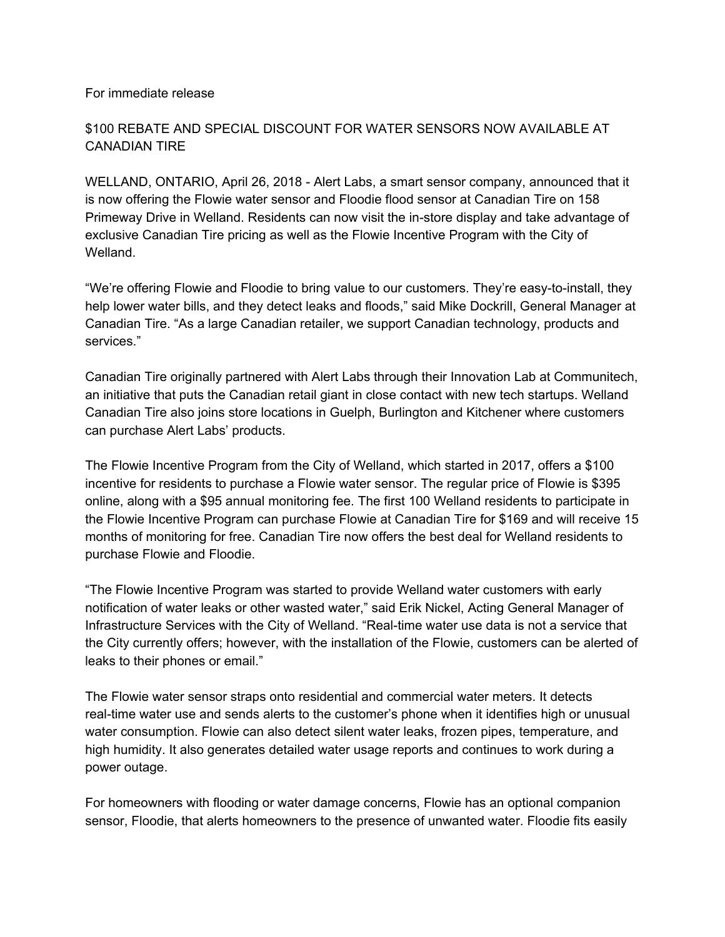## For immediate release

## \$100 REBATE AND SPECIAL DISCOUNT FOR WATER SENSORS NOW AVAILABLE AT CANADIAN TIRE

WELLAND, ONTARIO, April 26, 2018 - Alert Labs, a smart sensor company, announced that it is now offering the Flowie water sensor and Floodie flood sensor at Canadian Tire on 158 Primeway Drive in Welland. Residents can now visit the in-store display and take advantage of exclusive Canadian Tire pricing as well as the Flowie Incentive Program with the City of Welland.

"We're offering Flowie and Floodie to bring value to our customers. They're easy-to-install, they help lower water bills, and they detect leaks and floods," said Mike Dockrill, General Manager at Canadian Tire. "As a large Canadian retailer, we support Canadian technology, products and services."

Canadian Tire originally partnered with Alert Labs through their Innovation Lab at Communitech, an initiative that puts the Canadian retail giant in close contact with new tech startups. Welland Canadian Tire also joins store locations in Guelph, Burlington and Kitchener where customers can purchase Alert Labs' products.

The Flowie Incentive Program from the City of Welland, which started in 2017, offers a \$100 incentive for residents to purchase a Flowie water sensor. The regular price of Flowie is \$395 online, along with a \$95 annual monitoring fee. The first 100 Welland residents to participate in the Flowie Incentive Program can purchase Flowie at Canadian Tire for \$169 and will receive 15 months of monitoring for free. Canadian Tire now offers the best deal for Welland residents to purchase Flowie and Floodie.

"The Flowie Incentive Program was started to provide Welland water customers with early notification of water leaks or other wasted water," said Erik Nickel, Acting General Manager of Infrastructure Services with the City of Welland. "Real-time water use data is not a service that the City currently offers; however, with the installation of the Flowie, customers can be alerted of leaks to their phones or email."

The Flowie water sensor straps onto residential and commercial water meters. It detects real-time water use and sends alerts to the customer's phone when it identifies high or unusual water consumption. Flowie can also detect silent water leaks, frozen pipes, temperature, and high humidity. It also generates detailed water usage reports and continues to work during a power outage.

For homeowners with flooding or water damage concerns, Flowie has an optional companion sensor, Floodie, that alerts homeowners to the presence of unwanted water. Floodie fits easily